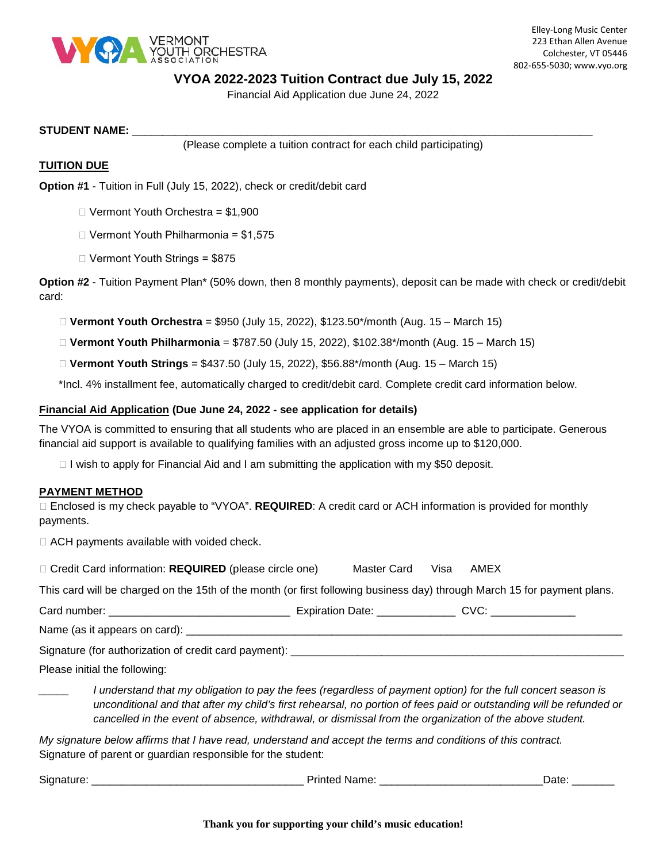

#### **VYOA 2022-2023 Tuition Contract due July 15, 2022**

Financial Aid Application due June 24, 2022

#### **STUDENT NAME:** \_\_\_\_\_\_\_\_\_\_\_\_\_\_\_\_\_\_\_\_\_\_\_\_\_\_\_\_\_\_\_\_\_\_\_\_\_\_\_\_\_\_\_\_\_\_\_\_\_\_\_\_\_\_\_\_\_\_\_\_\_\_\_\_\_\_\_\_\_\_\_\_\_\_\_\_

(Please complete a tuition contract for each child participating)

#### **TUITION DUE**

**Option #1** - Tuition in Full (July 15, 2022), check or credit/debit card

- $\Box$  Vermont Youth Orchestra = \$1,900
- $\Box$  Vermont Youth Philharmonia = \$1.575
- Vermont Youth Strings = \$875

**Option #2** - Tuition Payment Plan\* (50% down, then 8 monthly payments), deposit can be made with check or credit/debit card:

**Vermont Youth Orchestra** = \$950 (July 15, 2022), \$123.50\*/month (Aug. 15 – March 15)

**Vermont Youth Philharmonia** = \$787.50 (July 15, 2022), \$102.38\*/month (Aug. 15 – March 15)

**Vermont Youth Strings** = \$437.50 (July 15, 2022), \$56.88\*/month (Aug. 15 – March 15)

\*Incl. 4% installment fee, automatically charged to credit/debit card. Complete credit card information below.

#### **Financial Aid Application (Due June 24, 2022 - see application for details)**

The VYOA is committed to ensuring that all students who are placed in an ensemble are able to participate. Generous financial aid support is available to qualifying families with an adjusted gross income up to \$120,000.

 $\Box$  I wish to apply for Financial Aid and I am submitting the application with my \$50 deposit.

#### **PAYMENT METHOD**

 Enclosed is my check payable to "VYOA". **REQUIRED**: A credit card or ACH information is provided for monthly payments.

 $\Box$  ACH payments available with voided check.

| □ Credit Card information: REQUIRED (please circle one) | Master Card Visa AMEX |  |  |
|---------------------------------------------------------|-----------------------|--|--|
|---------------------------------------------------------|-----------------------|--|--|

This card will be charged on the 15th of the month (or first following business day) through March 15 for payment plans.

Card number: \_\_\_\_\_\_\_\_\_\_\_\_\_\_\_\_\_\_\_\_\_\_\_\_\_\_\_\_\_\_ Expiration Date: \_\_\_\_\_\_\_\_\_\_\_\_\_ CVC: \_\_\_\_\_\_\_\_\_\_\_\_\_\_

Name (as it appears on card):

Signature (for authorization of credit card payment): \_\_\_\_\_\_\_\_\_\_\_\_\_\_\_\_\_\_\_\_\_\_\_\_\_\_

Please initial the following:

*\_\_\_\_\_ I understand that my obligation to pay the fees (regardless of payment option) for the full concert season is unconditional and that after my child's first rehearsal, no portion of fees paid or outstanding will be refunded or cancelled in the event of absence, withdrawal, or dismissal from the organization of the above student.*

*My signature below affirms that I have read, understand and accept the terms and conditions of this contract.*  Signature of parent or guardian responsible for the student:

Signature: \_\_\_\_\_\_\_\_\_\_\_\_\_\_\_\_\_\_\_\_\_\_\_\_\_\_\_\_\_\_\_\_\_\_\_ Printed Name: \_\_\_\_\_\_\_\_\_\_\_\_\_\_\_\_\_\_\_\_\_\_\_\_\_\_\_Date: \_\_\_\_\_\_\_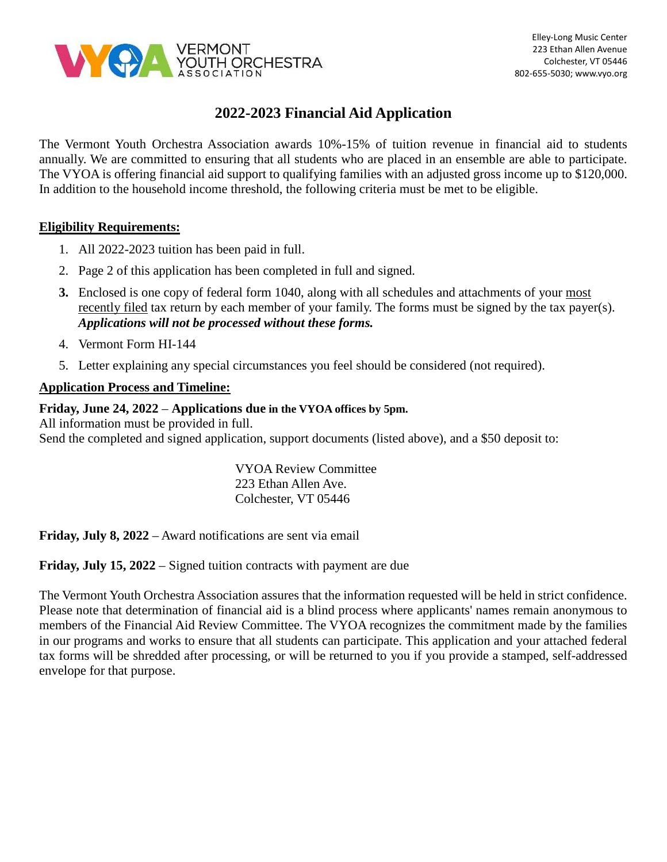

# **2022-2023 Financial Aid Application**

The Vermont Youth Orchestra Association awards 10%-15% of tuition revenue in financial aid to students annually. We are committed to ensuring that all students who are placed in an ensemble are able to participate. The VYOA is offering financial aid support to qualifying families with an adjusted gross income up to \$120,000. In addition to the household income threshold, the following criteria must be met to be eligible.

### **Eligibility Requirements:**

- 1. All 2022-2023 tuition has been paid in full.
- 2. Page 2 of this application has been completed in full and signed.
- **3.** Enclosed is one copy of federal form 1040, along with all schedules and attachments of your most recently filed tax return by each member of your family. The forms must be signed by the tax payer(s). *Applications will not be processed without these forms.*
- 4. Vermont Form HI-144
- 5. Letter explaining any special circumstances you feel should be considered (not required).

## **Application Process and Timeline:**

### **Friday, June 24, 2022** – **Applications due in the VYOA offices by 5pm.**

All information must be provided in full. Send the completed and signed application, support documents (listed above), and a \$50 deposit to:

> VYOA Review Committee 223 Ethan Allen Ave. Colchester, VT 05446

**Friday, July 8, 2022** – Award notifications are sent via email

**Friday, July 15, 2022** – Signed tuition contracts with payment are due

The Vermont Youth Orchestra Association assures that the information requested will be held in strict confidence. Please note that determination of financial aid is a blind process where applicants' names remain anonymous to members of the Financial Aid Review Committee. The VYOA recognizes the commitment made by the families in our programs and works to ensure that all students can participate. This application and your attached federal tax forms will be shredded after processing, or will be returned to you if you provide a stamped, self-addressed envelope for that purpose.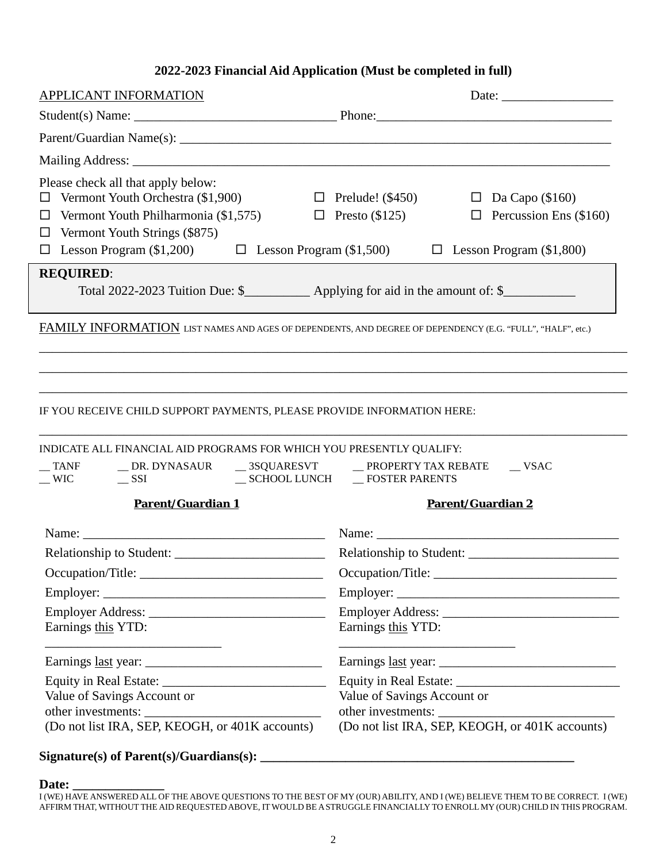## **2022-2023 Financial Aid Application (Must be completed in full)**

| <b>APPLICANT INFORMATION</b>                                                                                                                                                                                                                                                                                             |                                                                  |  |  |
|--------------------------------------------------------------------------------------------------------------------------------------------------------------------------------------------------------------------------------------------------------------------------------------------------------------------------|------------------------------------------------------------------|--|--|
|                                                                                                                                                                                                                                                                                                                          |                                                                  |  |  |
|                                                                                                                                                                                                                                                                                                                          |                                                                  |  |  |
|                                                                                                                                                                                                                                                                                                                          |                                                                  |  |  |
| Please check all that apply below:<br>$\Box$ Vermont Youth Orchestra (\$1,900) $\Box$ Prelude! (\$450) $\Box$ Da Capo (\$160)<br>Vermont Youth Philharmonia (\$1,575)<br>□<br>Vermont Youth Strings (\$875)<br>$\Box$<br>$\Box$ Lesson Program (\$1,200) $\Box$ Lesson Program (\$1,500) $\Box$ Lesson Program (\$1,800) | $\Box$ Presto (\$125) $\Box$ Percussion Ens (\$160)              |  |  |
| <b>REQUIRED:</b>                                                                                                                                                                                                                                                                                                         |                                                                  |  |  |
| Total 2022-2023 Tuition Due: \$_____________ Applying for aid in the amount of: \$___________                                                                                                                                                                                                                            |                                                                  |  |  |
| FAMILY INFORMATION LIST NAMES AND AGES OF DEPENDENTS, AND DEGREE OF DEPENDENCY (E.G. "FULL", "HALF", etc.)                                                                                                                                                                                                               |                                                                  |  |  |
| IF YOU RECEIVE CHILD SUPPORT PAYMENTS, PLEASE PROVIDE INFORMATION HERE:<br>INDICATE ALL FINANCIAL AID PROGRAMS FOR WHICH YOU PRESENTLY QUALIFY:                                                                                                                                                                          |                                                                  |  |  |
| __ TANF ___ _ _ _ DR. DYNASAUR ___ 3SQUARESVT ___ __ PROPERTY TAX REBATE                                                                                                                                                                                                                                                 | $\sqrt{\text{VSAC}}$                                             |  |  |
| Parent/Guardian 1                                                                                                                                                                                                                                                                                                        |                                                                  |  |  |
|                                                                                                                                                                                                                                                                                                                          | Parent/Guardian 2                                                |  |  |
|                                                                                                                                                                                                                                                                                                                          |                                                                  |  |  |
|                                                                                                                                                                                                                                                                                                                          |                                                                  |  |  |
|                                                                                                                                                                                                                                                                                                                          |                                                                  |  |  |
| Occupation/Title:                                                                                                                                                                                                                                                                                                        |                                                                  |  |  |
| Earnings this YTD:                                                                                                                                                                                                                                                                                                       | Earnings this YTD:                                               |  |  |
|                                                                                                                                                                                                                                                                                                                          | <u> 1989 - Johann Barbara, markazi bashkar mashrida ma'lumot</u> |  |  |
|                                                                                                                                                                                                                                                                                                                          |                                                                  |  |  |
| Value of Savings Account or                                                                                                                                                                                                                                                                                              | Value of Savings Account or                                      |  |  |

## **Signature(s) of Parent(s)/Guardians(s): \_\_\_\_\_\_\_\_\_\_\_\_\_\_\_\_\_\_\_\_\_\_\_\_\_\_\_\_\_\_\_\_\_\_\_\_\_\_\_\_\_\_\_\_\_\_\_\_**

#### **Date: \_\_\_\_\_\_\_\_\_\_\_\_\_\_**

I (WE) HAVE ANSWERED ALL OF THE ABOVE QUESTIONS TO THE BEST OF MY (OUR) ABILITY, AND I (WE) BELIEVE THEM TO BE CORRECT. I (WE)<br>AFFIRM THAT, WITHOUT THE AID REQUESTED ABOVE, IT WOULD BE A STRUGGLE FINANCIALLY TO ENROLL MY (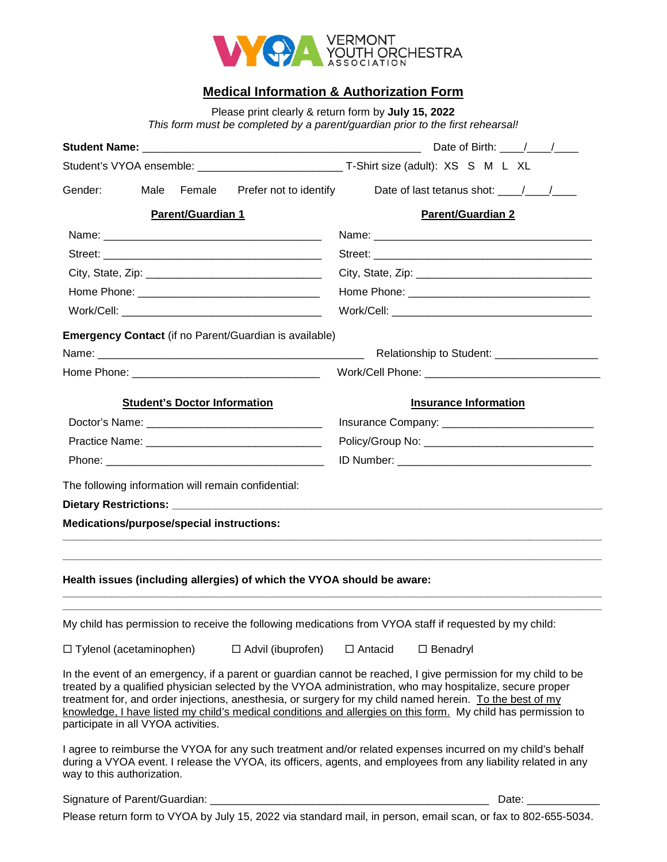

## **Medical Information & Authorization Form**

Please print clearly & return form by **July 15, 2022**

| This form must be completed by a parent/guardian prior to the first rehearsal!                                                                                                                                                                                                                                                                                                                                                                                                                |                                              |  |
|-----------------------------------------------------------------------------------------------------------------------------------------------------------------------------------------------------------------------------------------------------------------------------------------------------------------------------------------------------------------------------------------------------------------------------------------------------------------------------------------------|----------------------------------------------|--|
|                                                                                                                                                                                                                                                                                                                                                                                                                                                                                               |                                              |  |
|                                                                                                                                                                                                                                                                                                                                                                                                                                                                                               |                                              |  |
| Prefer not to identify<br>Gender:<br>Male<br>Female                                                                                                                                                                                                                                                                                                                                                                                                                                           | Date of last tetanus shot: $\frac{1}{2}$ / / |  |
| <b>Parent/Guardian 1</b>                                                                                                                                                                                                                                                                                                                                                                                                                                                                      | <b>Parent/Guardian 2</b>                     |  |
|                                                                                                                                                                                                                                                                                                                                                                                                                                                                                               |                                              |  |
|                                                                                                                                                                                                                                                                                                                                                                                                                                                                                               |                                              |  |
|                                                                                                                                                                                                                                                                                                                                                                                                                                                                                               |                                              |  |
|                                                                                                                                                                                                                                                                                                                                                                                                                                                                                               |                                              |  |
|                                                                                                                                                                                                                                                                                                                                                                                                                                                                                               |                                              |  |
| Emergency Contact (if no Parent/Guardian is available)                                                                                                                                                                                                                                                                                                                                                                                                                                        |                                              |  |
|                                                                                                                                                                                                                                                                                                                                                                                                                                                                                               |                                              |  |
|                                                                                                                                                                                                                                                                                                                                                                                                                                                                                               |                                              |  |
| <b>Student's Doctor Information</b>                                                                                                                                                                                                                                                                                                                                                                                                                                                           | <b>Insurance Information</b>                 |  |
|                                                                                                                                                                                                                                                                                                                                                                                                                                                                                               |                                              |  |
|                                                                                                                                                                                                                                                                                                                                                                                                                                                                                               |                                              |  |
|                                                                                                                                                                                                                                                                                                                                                                                                                                                                                               |                                              |  |
| The following information will remain confidential:                                                                                                                                                                                                                                                                                                                                                                                                                                           |                                              |  |
|                                                                                                                                                                                                                                                                                                                                                                                                                                                                                               |                                              |  |
| Medications/purpose/special instructions:                                                                                                                                                                                                                                                                                                                                                                                                                                                     |                                              |  |
|                                                                                                                                                                                                                                                                                                                                                                                                                                                                                               |                                              |  |
| Health issues (including allergies) of which the VYOA should be aware:                                                                                                                                                                                                                                                                                                                                                                                                                        |                                              |  |
|                                                                                                                                                                                                                                                                                                                                                                                                                                                                                               |                                              |  |
| My child has permission to receive the following medications from VYOA staff if requested by my child:                                                                                                                                                                                                                                                                                                                                                                                        |                                              |  |
| $\Box$ Advil (ibuprofen)<br>$\Box$ Tylenol (acetaminophen)                                                                                                                                                                                                                                                                                                                                                                                                                                    | $\Box$ Antacid<br>$\square$ Benadryl         |  |
| In the event of an emergency, if a parent or guardian cannot be reached, I give permission for my child to be<br>treated by a qualified physician selected by the VYOA administration, who may hospitalize, secure proper<br>treatment for, and order injections, anesthesia, or surgery for my child named herein. To the best of my<br>knowledge, I have listed my child's medical conditions and allergies on this form. My child has permission to<br>participate in all VYOA activities. |                                              |  |
| I agree to reimburse the VYOA for any such treatment and/or related expenses incurred on my child's behalf<br>during a VYOA event. I release the VYOA, its officers, agents, and employees from any liability related in any<br>way to this authorization.                                                                                                                                                                                                                                    |                                              |  |
|                                                                                                                                                                                                                                                                                                                                                                                                                                                                                               | Date:                                        |  |

Please return form to VYOA by July 15, 2022 via standard mail, in person, email scan, or fax to 802-655-5034.